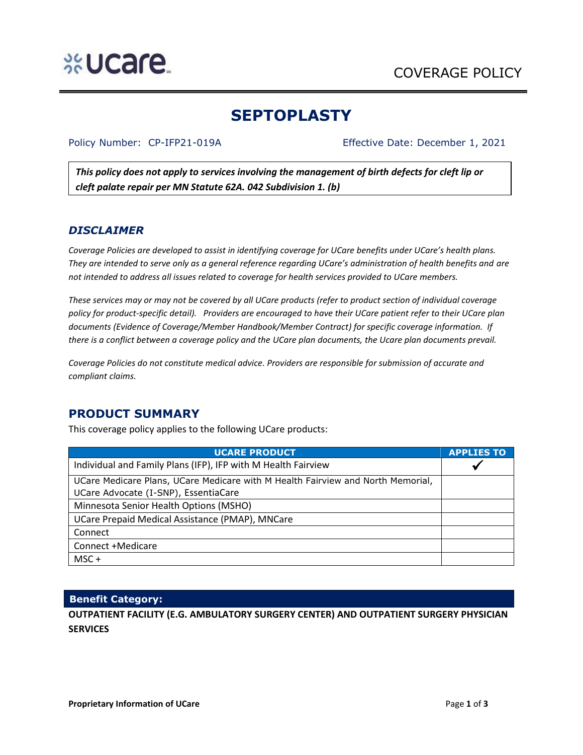# **%Ucare.**

## **SEPTOPLASTY**

Policy Number: CP-IFP21-019A Effective Date: December 1, 2021

*This policy does not apply to services involving the management of birth defects for cleft lip or cleft palate repair per MN Statute 62A. 042 Subdivision 1. (b)*

#### *DISCLAIMER*

*Coverage Policies are developed to assist in identifying coverage for UCare benefits under UCare's health plans. They are intended to serve only as a general reference regarding UCare's administration of health benefits and are not intended to address all issues related to coverage for health services provided to UCare members.*

*These services may or may not be covered by all UCare products (refer to product section of individual coverage policy for product-specific detail). Providers are encouraged to have their UCare patient refer to their UCare plan documents (Evidence of Coverage/Member Handbook/Member Contract) for specific coverage information. If there is a conflict between a coverage policy and the UCare plan documents, the Ucare plan documents prevail.* 

*Coverage Policies do not constitute medical advice. Providers are responsible for submission of accurate and compliant claims.* 

### **PRODUCT SUMMARY**

This coverage policy applies to the following UCare products:

| <b>UCARE PRODUCT</b>                                                            | <b>APPLIES TO</b> |
|---------------------------------------------------------------------------------|-------------------|
| Individual and Family Plans (IFP), IFP with M Health Fairview                   |                   |
| UCare Medicare Plans, UCare Medicare with M Health Fairview and North Memorial, |                   |
| UCare Advocate (I-SNP), EssentiaCare                                            |                   |
| Minnesota Senior Health Options (MSHO)                                          |                   |
| UCare Prepaid Medical Assistance (PMAP), MNCare                                 |                   |
| Connect                                                                         |                   |
| Connect +Medicare                                                               |                   |
| $MSC +$                                                                         |                   |

#### **Benefit Category:**

**OUTPATIENT FACILITY (E.G. AMBULATORY SURGERY CENTER) AND OUTPATIENT SURGERY PHYSICIAN SERVICES**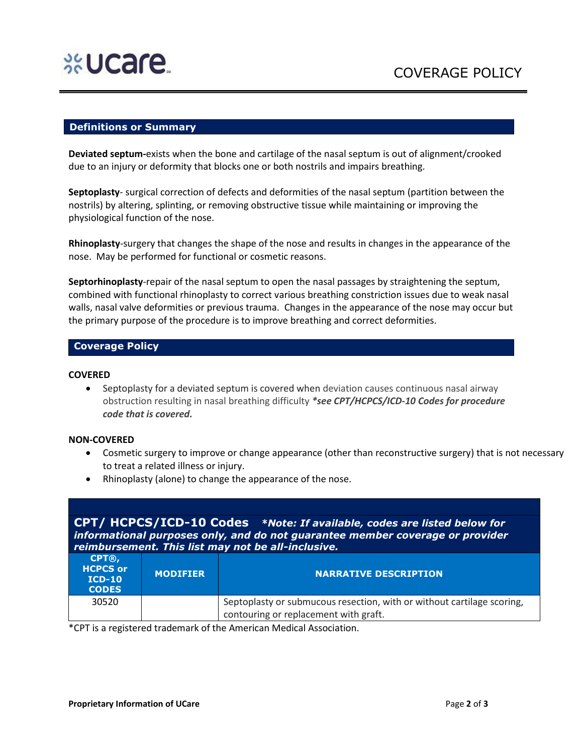

#### **Definitions or Summary**

**Deviated septum-**exists when the bone and cartilage of the nasal septum is out of alignment/crooked due to an injury or deformity that blocks one or both nostrils and impairs breathing.

**Septoplasty**- surgical correction of defects and deformities of the nasal septum (partition between the nostrils) by altering, splinting, or removing obstructive tissue while maintaining or improving the physiological function of the nose.

**Rhinoplasty**-surgery that changes the shape of the nose and results in changes in the appearance of the nose. May be performed for functional or cosmetic reasons.

**Septorhinoplasty**-repair of the nasal septum to open the nasal passages by straightening the septum, combined with functional rhinoplasty to correct various breathing constriction issues due to weak nasal walls, nasal valve deformities or previous trauma. Changes in the appearance of the nose may occur but the primary purpose of the procedure is to improve breathing and correct deformities.

#### **Coverage Policy**

#### **COVERED**

• Septoplasty for a deviated septum is covered when deviation causes continuous nasal airway obstruction resulting in nasal breathing difficulty *\*see CPT/HCPCS/ICD-10 Codes for procedure code that is covered.*

#### **NON-COVERED**

- Cosmetic surgery to improve or change appearance (other than reconstructive surgery) that is not necessary to treat a related illness or injury.
- Rhinoplasty (alone) to change the appearance of the nose.

**CPT/ HCPCS/ICD-10 Codes** *\*Note: If available, codes are listed below for informational purposes only, and do not guarantee member coverage or provider reimbursement. This list may not be all-inclusive.*

| CPT®,<br><b>HCPCS or</b><br>$ICD-10$<br><b>CODES</b> | <b>MODIFIER</b> | <b>NARRATIVE DESCRIPTION</b>                                           |
|------------------------------------------------------|-----------------|------------------------------------------------------------------------|
| 30520                                                |                 | Septoplasty or submucous resection, with or without cartilage scoring, |
|                                                      |                 | contouring or replacement with graft.                                  |

\*CPT is a registered trademark of the American Medical Association.